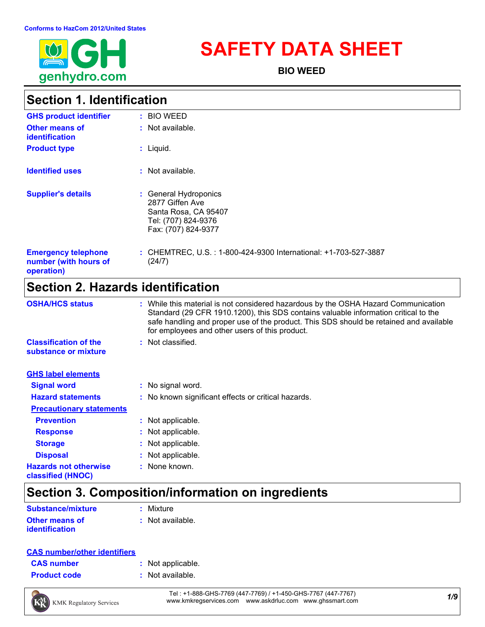

# **SAFETY DATA SHEET**

**BIO WEED**

### **Section 1. Identification**

| <b>GHS product identifier</b>                                     | : BIO WEED                                                                                                     |
|-------------------------------------------------------------------|----------------------------------------------------------------------------------------------------------------|
| <b>Other means of</b><br>identification                           | $:$ Not available.                                                                                             |
| <b>Product type</b>                                               | $:$ Liquid.                                                                                                    |
| <b>Identified uses</b>                                            | $:$ Not available.                                                                                             |
| <b>Supplier's details</b>                                         | : General Hydroponics<br>2877 Giffen Ave<br>Santa Rosa, CA 95407<br>Tel: (707) 824-9376<br>Fax: (707) 824-9377 |
| <b>Emergency telephone</b><br>number (with hours of<br>operation) | : CHEMTREC, U.S.: 1-800-424-9300 International: +1-703-527-3887<br>(24/7)                                      |

### **Section 2. Hazards identification**

| <b>OSHA/HCS status</b>                               | : While this material is not considered hazardous by the OSHA Hazard Communication<br>Standard (29 CFR 1910.1200), this SDS contains valuable information critical to the<br>safe handling and proper use of the product. This SDS should be retained and available<br>for employees and other users of this product. |
|------------------------------------------------------|-----------------------------------------------------------------------------------------------------------------------------------------------------------------------------------------------------------------------------------------------------------------------------------------------------------------------|
| <b>Classification of the</b><br>substance or mixture | : Not classified.                                                                                                                                                                                                                                                                                                     |
| <b>GHS label elements</b>                            |                                                                                                                                                                                                                                                                                                                       |
| <b>Signal word</b>                                   | : No signal word.                                                                                                                                                                                                                                                                                                     |
| <b>Hazard statements</b>                             | : No known significant effects or critical hazards.                                                                                                                                                                                                                                                                   |
| <b>Precautionary statements</b>                      |                                                                                                                                                                                                                                                                                                                       |
| <b>Prevention</b>                                    | : Not applicable.                                                                                                                                                                                                                                                                                                     |
| <b>Response</b>                                      | : Not applicable.                                                                                                                                                                                                                                                                                                     |
| <b>Storage</b>                                       | : Not applicable.                                                                                                                                                                                                                                                                                                     |
| <b>Disposal</b>                                      | : Not applicable.                                                                                                                                                                                                                                                                                                     |
| <b>Hazards not otherwise</b><br>classified (HNOC)    | : None known.                                                                                                                                                                                                                                                                                                         |

# **Section 3. Composition/information on ingredients**

| <b>Substance/mixture</b> | : Mixture          |
|--------------------------|--------------------|
| <b>Other means of</b>    | $:$ Not available. |
| <i>identification</i>    |                    |

#### **CAS number/other identifiers**

| <b>CAS number</b> |  |
|-------------------|--|
|                   |  |

- **:** Not applicable.
- **Product code :** Not available.



*1/9* Tel : +1-888-GHS-7769 (447-7769) / +1-450-GHS-7767 (447-7767) www.kmkregservices.com www.askdrluc.com www.ghssmart.com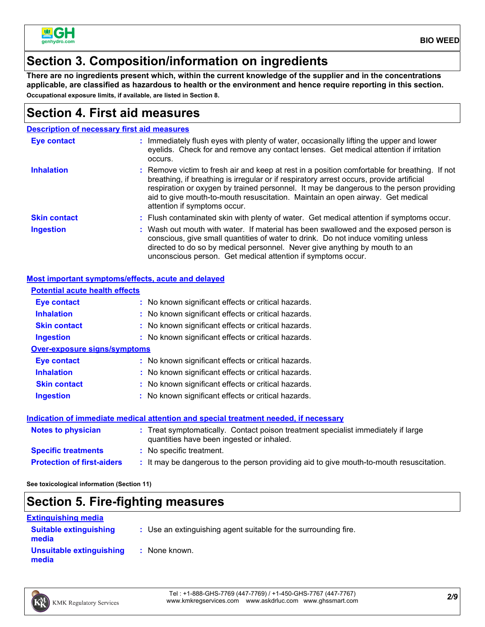

### **Section 3. Composition/information on ingredients**

**There are no ingredients present which, within the current knowledge of the supplier and in the concentrations applicable, are classified as hazardous to health or the environment and hence require reporting in this section. Occupational exposure limits, if available, are listed in Section 8.**

### **Section 4. First aid measures**

|                     | <b>Description of necessary first aid measures</b>                                                                                                                                                                                                                                                                                                                                                     |
|---------------------|--------------------------------------------------------------------------------------------------------------------------------------------------------------------------------------------------------------------------------------------------------------------------------------------------------------------------------------------------------------------------------------------------------|
| <b>Eye contact</b>  | : Immediately flush eyes with plenty of water, occasionally lifting the upper and lower<br>eyelids. Check for and remove any contact lenses. Get medical attention if irritation<br>occurs.                                                                                                                                                                                                            |
| <b>Inhalation</b>   | : Remove victim to fresh air and keep at rest in a position comfortable for breathing. If not<br>breathing, if breathing is irregular or if respiratory arrest occurs, provide artificial<br>respiration or oxygen by trained personnel. It may be dangerous to the person providing<br>aid to give mouth-to-mouth resuscitation. Maintain an open airway. Get medical<br>attention if symptoms occur. |
| <b>Skin contact</b> | : Flush contaminated skin with plenty of water. Get medical attention if symptoms occur.                                                                                                                                                                                                                                                                                                               |
| <b>Ingestion</b>    | : Wash out mouth with water. If material has been swallowed and the exposed person is<br>conscious, give small quantities of water to drink. Do not induce vomiting unless<br>directed to do so by medical personnel. Never give anything by mouth to an<br>unconscious person. Get medical attention if symptoms occur.                                                                               |

#### **Most important symptoms/effects, acute and delayed**

| <b>Potential acute health effects</b> |                                                                                                                                |
|---------------------------------------|--------------------------------------------------------------------------------------------------------------------------------|
| Eye contact                           | : No known significant effects or critical hazards.                                                                            |
| <b>Inhalation</b>                     | : No known significant effects or critical hazards.                                                                            |
| <b>Skin contact</b>                   | : No known significant effects or critical hazards.                                                                            |
| <b>Ingestion</b>                      | : No known significant effects or critical hazards.                                                                            |
| <b>Over-exposure signs/symptoms</b>   |                                                                                                                                |
| Eye contact                           | : No known significant effects or critical hazards.                                                                            |
| <b>Inhalation</b>                     | : No known significant effects or critical hazards.                                                                            |
| <b>Skin contact</b>                   | : No known significant effects or critical hazards.                                                                            |
| <b>Ingestion</b>                      | : No known significant effects or critical hazards.                                                                            |
|                                       | Indication of immediate medical attention and special treatment needed, if necessary                                           |
| <b>Notes to physician</b>             | : Treat symptomatically. Contact poison treatment specialist immediately if large<br>quantities have been ingested or inhaled. |
| <b>Specific treatments</b>            | : No specific treatment.                                                                                                       |
| <b>Protection of first-aiders</b>     | : It may be dangerous to the person providing aid to give mouth-to-mouth resuscitation.                                        |

**See toxicological information (Section 11)**

### **Section 5. Fire-fighting measures**

| <b>Extinguishing media</b>             |                                                                 |
|----------------------------------------|-----------------------------------------------------------------|
| <b>Suitable extinguishing</b><br>media | : Use an extinguishing agent suitable for the surrounding fire. |
| Unsuitable extinguishing<br>media      | : None known.                                                   |

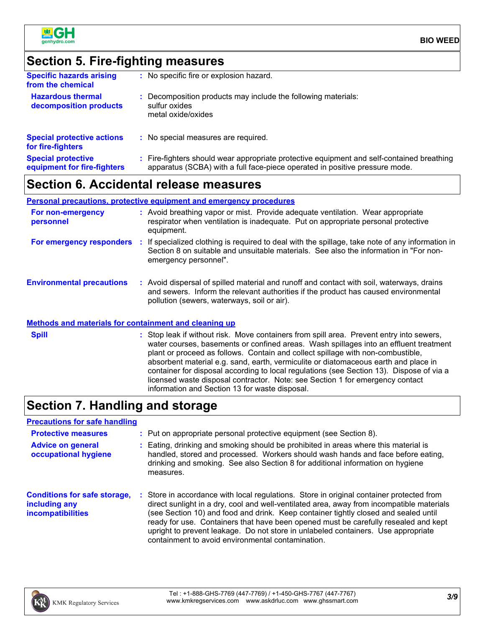

### **Section 5. Fire-fighting measures**

| <b>Specific hazards arising</b><br>from the chemical     | : No specific fire or explosion hazard.                                                                                                                                  |
|----------------------------------------------------------|--------------------------------------------------------------------------------------------------------------------------------------------------------------------------|
| <b>Hazardous thermal</b><br>decomposition products       | : Decomposition products may include the following materials:<br>sulfur oxides<br>metal oxide/oxides                                                                     |
| <b>Special protective actions</b><br>for fire-fighters   | : No special measures are required.                                                                                                                                      |
| <b>Special protective</b><br>equipment for fire-fighters | : Fire-fighters should wear appropriate protective equipment and self-contained breathing<br>apparatus (SCBA) with a full face-piece operated in positive pressure mode. |
|                                                          |                                                                                                                                                                          |

### **Section 6. Accidental release measures**

#### **Personal precautions, protective equipment and emergency procedures**

| For non-emergency<br>personnel   | : Avoid breathing vapor or mist. Provide adequate ventilation. Wear appropriate<br>respirator when ventilation is inadequate. Put on appropriate personal protective<br>equipment.                                              |
|----------------------------------|---------------------------------------------------------------------------------------------------------------------------------------------------------------------------------------------------------------------------------|
| For emergency responders         | If specialized clothing is required to deal with the spillage, take note of any information in<br>Section 8 on suitable and unsuitable materials. See also the information in "For non-<br>emergency personnel".                |
| <b>Environmental precautions</b> | : Avoid dispersal of spilled material and runoff and contact with soil, waterways, drains<br>and sewers. Inform the relevant authorities if the product has caused environmental<br>pollution (sewers, waterways, soil or air). |

#### **Methods and materials for containment and cleaning up**

| <b>Spill</b> | : Stop leak if without risk. Move containers from spill area. Prevent entry into sewers,<br>water courses, basements or confined areas. Wash spillages into an effluent treatment                                           |
|--------------|-----------------------------------------------------------------------------------------------------------------------------------------------------------------------------------------------------------------------------|
|              | plant or proceed as follows. Contain and collect spillage with non-combustible,<br>absorbent material e.g. sand, earth, vermiculite or diatomaceous earth and place in                                                      |
|              | container for disposal according to local regulations (see Section 13). Dispose of via a<br>licensed waste disposal contractor. Note: see Section 1 for emergency contact<br>information and Section 13 for waste disposal. |

### **Section 7. Handling and storage**

#### **Precautions for safe handling**

| <b>Protective measures</b>                                                       | : Put on appropriate personal protective equipment (see Section 8).                                                                                                                                                                                                                                                                                                                                                                                                                                           |
|----------------------------------------------------------------------------------|---------------------------------------------------------------------------------------------------------------------------------------------------------------------------------------------------------------------------------------------------------------------------------------------------------------------------------------------------------------------------------------------------------------------------------------------------------------------------------------------------------------|
| <b>Advice on general</b><br>occupational hygiene                                 | : Eating, drinking and smoking should be prohibited in areas where this material is<br>handled, stored and processed. Workers should wash hands and face before eating,<br>drinking and smoking. See also Section 8 for additional information on hygiene<br>measures.                                                                                                                                                                                                                                        |
| <b>Conditions for safe storage,</b><br>including any<br><i>incompatibilities</i> | : Store in accordance with local regulations. Store in original container protected from<br>direct sunlight in a dry, cool and well-ventilated area, away from incompatible materials<br>(see Section 10) and food and drink. Keep container tightly closed and sealed until<br>ready for use. Containers that have been opened must be carefully resealed and kept<br>upright to prevent leakage. Do not store in unlabeled containers. Use appropriate<br>containment to avoid environmental contamination. |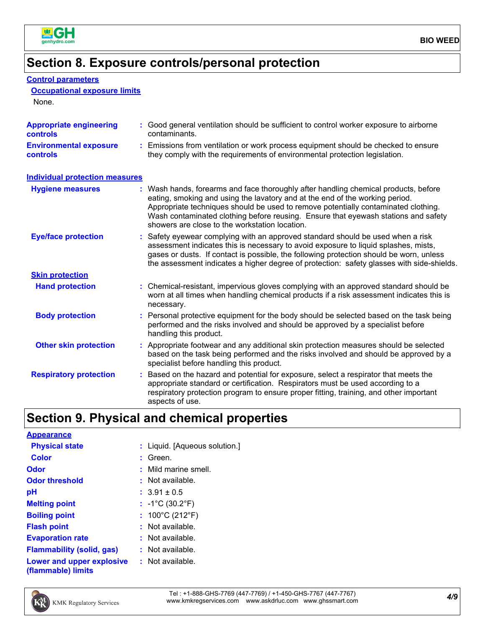

**Control parameters**

### **Section 8. Exposure controls/personal protection**

| <b>Occupational exposure limits</b><br>None.      |                                                                                                                                                                                                                                                                                                                                                                                                   |
|---------------------------------------------------|---------------------------------------------------------------------------------------------------------------------------------------------------------------------------------------------------------------------------------------------------------------------------------------------------------------------------------------------------------------------------------------------------|
| <b>Appropriate engineering</b><br><b>controls</b> | : Good general ventilation should be sufficient to control worker exposure to airborne<br>contaminants.                                                                                                                                                                                                                                                                                           |
| <b>Environmental exposure</b><br><b>controls</b>  | Emissions from ventilation or work process equipment should be checked to ensure<br>they comply with the requirements of environmental protection legislation.                                                                                                                                                                                                                                    |
| <b>Individual protection measures</b>             |                                                                                                                                                                                                                                                                                                                                                                                                   |
| <b>Hygiene measures</b>                           | : Wash hands, forearms and face thoroughly after handling chemical products, before<br>eating, smoking and using the lavatory and at the end of the working period.<br>Appropriate techniques should be used to remove potentially contaminated clothing.<br>Wash contaminated clothing before reusing. Ensure that eyewash stations and safety<br>showers are close to the workstation location. |
| <b>Eye/face protection</b>                        | Safety eyewear complying with an approved standard should be used when a risk<br>assessment indicates this is necessary to avoid exposure to liquid splashes, mists,<br>gases or dusts. If contact is possible, the following protection should be worn, unless<br>the assessment indicates a higher degree of protection: safety glasses with side-shields.                                      |
| <b>Skin protection</b>                            |                                                                                                                                                                                                                                                                                                                                                                                                   |
| <b>Hand protection</b>                            | Chemical-resistant, impervious gloves complying with an approved standard should be<br>worn at all times when handling chemical products if a risk assessment indicates this is<br>necessary.                                                                                                                                                                                                     |
| <b>Body protection</b>                            | Personal protective equipment for the body should be selected based on the task being<br>performed and the risks involved and should be approved by a specialist before<br>handling this product.                                                                                                                                                                                                 |
| <b>Other skin protection</b>                      | : Appropriate footwear and any additional skin protection measures should be selected<br>based on the task being performed and the risks involved and should be approved by a<br>specialist before handling this product.                                                                                                                                                                         |
| <b>Respiratory protection</b>                     | Based on the hazard and potential for exposure, select a respirator that meets the<br>÷.<br>appropriate standard or certification. Respirators must be used according to a<br>respiratory protection program to ensure proper fitting, training, and other important<br>aspects of use.                                                                                                           |

# **Section 9. Physical and chemical properties**

| <b>Appearance</b>                               |                                      |
|-------------------------------------------------|--------------------------------------|
| <b>Physical state</b>                           | : Liquid. [Aqueous solution.]        |
| <b>Color</b>                                    | Green.                               |
| Odor                                            | : Mild marine smell.                 |
| <b>Odor threshold</b>                           | : Not available.                     |
| рH                                              | $: 3.91 \pm 0.5$                     |
| <b>Melting point</b>                            | : $-1^{\circ}C(30.2^{\circ}F)$       |
| <b>Boiling point</b>                            | : $100^{\circ}$ C (212 $^{\circ}$ F) |
| <b>Flash point</b>                              | $:$ Not available.                   |
| <b>Evaporation rate</b>                         | $:$ Not available.                   |
| <b>Flammability (solid, gas)</b>                | $:$ Not available.                   |
| Lower and upper explosive<br>(flammable) limits | $:$ Not available.                   |

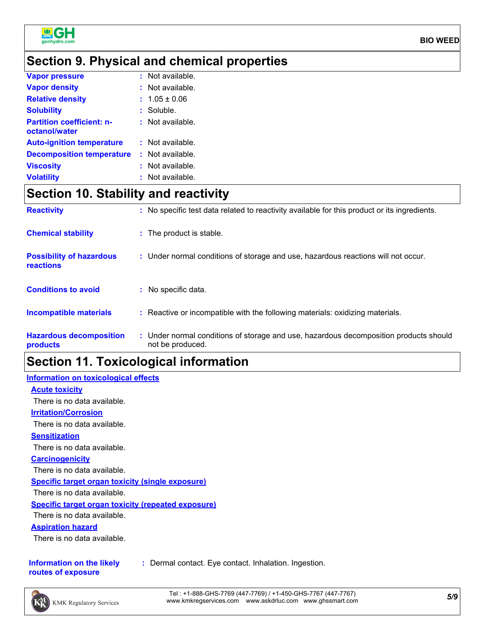

### **Section 9. Physical and chemical properties**

| <b>Vapor pressure</b>                             | $:$ Not available. |
|---------------------------------------------------|--------------------|
| <b>Vapor density</b>                              | $:$ Not available. |
| <b>Relative density</b>                           | $: 1.05 \pm 0.06$  |
| <b>Solubility</b>                                 | $:$ Soluble.       |
| <b>Partition coefficient: n-</b><br>octanol/water | $:$ Not available. |
| <b>Auto-ignition temperature</b>                  | $:$ Not available. |
| <b>Decomposition temperature</b>                  | $:$ Not available. |
| <b>Viscosity</b>                                  | : Not available.   |
| <b>Volatility</b>                                 | : Not available.   |

# **Section 10. Stability and reactivity**

| <b>Reactivity</b>                                   | : No specific test data related to reactivity available for this product or its ingredients.              |
|-----------------------------------------------------|-----------------------------------------------------------------------------------------------------------|
| <b>Chemical stability</b>                           | : The product is stable.                                                                                  |
| <b>Possibility of hazardous</b><br><b>reactions</b> | : Under normal conditions of storage and use, hazardous reactions will not occur.                         |
| <b>Conditions to avoid</b>                          | : No specific data.                                                                                       |
| <b>Incompatible materials</b>                       | : Reactive or incompatible with the following materials: oxidizing materials.                             |
| <b>Hazardous decomposition</b><br>products          | : Under normal conditions of storage and use, hazardous decomposition products should<br>not be produced. |

### **Section 11. Toxicological information**

#### **Information on toxicological effects**

**Acute toxicity**

There is no data available.

**Irritation/Corrosion**

There is no data available.

#### **Sensitization**

There is no data available.

#### **Carcinogenicity**

There is no data available.

**Specific target organ toxicity (single exposure)**

There is no data available.

#### **Specific target organ toxicity (repeated exposure)**

There is no data available.

#### **Aspiration hazard**

There is no data available.

#### **Information on the likely routes of exposure**

**:** Dermal contact. Eye contact. Inhalation. Ingestion.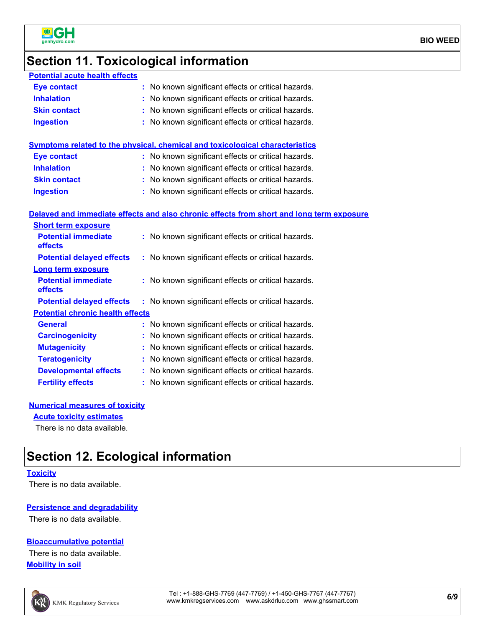

# **Section 11. Toxicological information**

| <b>Potential acute health effects</b>   |                                                                                          |
|-----------------------------------------|------------------------------------------------------------------------------------------|
| <b>Eye contact</b>                      | : No known significant effects or critical hazards.                                      |
| <b>Inhalation</b>                       | : No known significant effects or critical hazards.                                      |
| <b>Skin contact</b>                     | : No known significant effects or critical hazards.                                      |
| <b>Ingestion</b>                        | : No known significant effects or critical hazards.                                      |
|                                         |                                                                                          |
|                                         | Symptoms related to the physical, chemical and toxicological characteristics             |
| <b>Eye contact</b>                      | : No known significant effects or critical hazards.                                      |
| <b>Inhalation</b>                       | : No known significant effects or critical hazards.                                      |
| <b>Skin contact</b>                     | : No known significant effects or critical hazards.                                      |
| <b>Ingestion</b>                        | : No known significant effects or critical hazards.                                      |
|                                         |                                                                                          |
|                                         | Delayed and immediate effects and also chronic effects from short and long term exposure |
| <b>Short term exposure</b>              |                                                                                          |
| <b>Potential immediate</b>              | : No known significant effects or critical hazards.                                      |
| effects                                 |                                                                                          |
| <b>Potential delayed effects</b>        | : No known significant effects or critical hazards.                                      |
| <b>Long term exposure</b>               |                                                                                          |
| <b>Potential immediate</b><br>effects   | : No known significant effects or critical hazards.                                      |
| <b>Potential delayed effects</b>        | : No known significant effects or critical hazards.                                      |
| <b>Potential chronic health effects</b> |                                                                                          |
| <b>General</b>                          | : No known significant effects or critical hazards.                                      |
| <b>Carcinogenicity</b>                  | : No known significant effects or critical hazards.                                      |
| <b>Mutagenicity</b>                     | : No known significant effects or critical hazards.                                      |
| <b>Teratogenicity</b>                   | : No known significant effects or critical hazards.                                      |
| <b>Developmental effects</b>            | : No known significant effects or critical hazards.                                      |
| <b>Fertility effects</b>                | : No known significant effects or critical hazards.                                      |

#### **Numerical measures of toxicity**

**Acute toxicity estimates**

There is no data available.

# **Section 12. Ecological information**

#### **Toxicity**

There is no data available.

#### **Persistence and degradability**

There is no data available.

#### **Bioaccumulative potential**

**Mobility in soil** There is no data available.

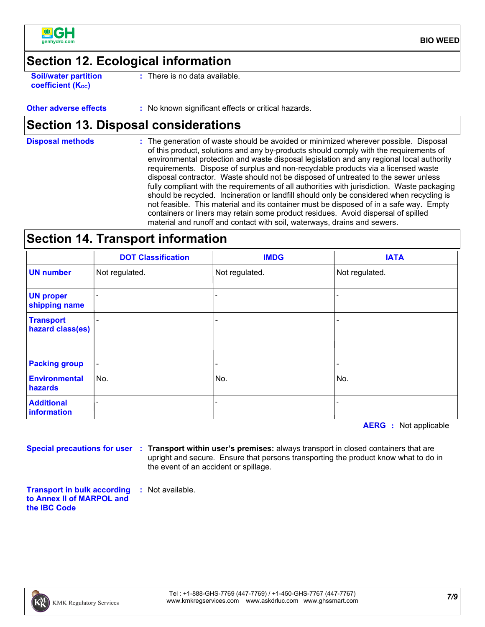

**BIO WEED**

### **Section 12. Ecological information**

**Soil/water partition coefficient (Koc)** 

**:** There is no data available.

**Other adverse effects** : No known significant effects or critical hazards.

### **Section 13. Disposal considerations**

The generation of waste should be avoided or minimized wherever possible. Disposal of this product, solutions and any by-products should comply with the requirements of environmental protection and waste disposal legislation and any regional local authority requirements. Dispose of surplus and non-recyclable products via a licensed waste disposal contractor. Waste should not be disposed of untreated to the sewer unless fully compliant with the requirements of all authorities with jurisdiction. Waste packaging should be recycled. Incineration or landfill should only be considered when recycling is not feasible. This material and its container must be disposed of in a safe way. Empty containers or liners may retain some product residues. Avoid dispersal of spilled material and runoff and contact with soil, waterways, drains and sewers. **Disposal methods :**

### **Section 14. Transport information**

|                                      | <b>DOT Classification</b> | <b>IMDG</b>              | <b>IATA</b>              |
|--------------------------------------|---------------------------|--------------------------|--------------------------|
| <b>UN number</b>                     | Not regulated.            | Not regulated.           | Not regulated.           |
| <b>UN proper</b><br>shipping name    |                           |                          |                          |
| <b>Transport</b><br>hazard class(es) |                           | $\overline{\phantom{0}}$ |                          |
| <b>Packing group</b>                 | $\overline{\phantom{a}}$  | $\overline{\phantom{a}}$ | $\overline{\phantom{0}}$ |
| <b>Environmental</b><br>hazards      | No.                       | No.                      | No.                      |
| <b>Additional</b><br>information     |                           |                          |                          |

**AERG :** Not applicable

**Special precautions for user Transport within user's premises:** always transport in closed containers that are **:** upright and secure. Ensure that persons transporting the product know what to do in the event of an accident or spillage.

**Transport in bulk according to Annex II of MARPOL and the IBC Code :** Not available.

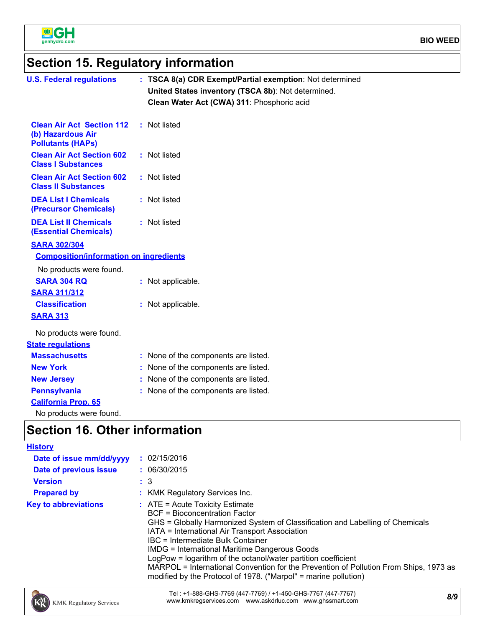

# **Section 15. Regulatory information**

| <b>U.S. Federal regulations</b>                                                                                                                                                                                                                 | : TSCA 8(a) CDR Exempt/Partial exemption: Not determined<br>United States inventory (TSCA 8b): Not determined.<br>Clean Water Act (CWA) 311: Phosphoric acid |
|-------------------------------------------------------------------------------------------------------------------------------------------------------------------------------------------------------------------------------------------------|--------------------------------------------------------------------------------------------------------------------------------------------------------------|
| <b>Clean Air Act Section 112</b><br>(b) Hazardous Air<br><b>Pollutants (HAPs)</b>                                                                                                                                                               | : Not listed                                                                                                                                                 |
| <b>Clean Air Act Section 602</b><br><b>Class I Substances</b>                                                                                                                                                                                   | : Not listed                                                                                                                                                 |
| <b>Clean Air Act Section 602</b><br><b>Class II Substances</b>                                                                                                                                                                                  | : Not listed                                                                                                                                                 |
| <b>DEA List I Chemicals</b><br>(Precursor Chemicals)                                                                                                                                                                                            | : Not listed                                                                                                                                                 |
| <b>DEA List II Chemicals</b><br><b>(Essential Chemicals)</b>                                                                                                                                                                                    | : Not listed                                                                                                                                                 |
| <b>SARA 302/304</b><br><b>Composition/information on ingredients</b><br>No products were found.<br><b>SARA 304 RQ</b><br><b>SARA 311/312</b><br><b>Classification</b><br><b>SARA 313</b><br>No products were found.<br><b>State regulations</b> | : Not applicable.<br>: Not applicable.                                                                                                                       |
| <b>Massachusetts</b>                                                                                                                                                                                                                            | : None of the components are listed.                                                                                                                         |
| <b>New York</b>                                                                                                                                                                                                                                 | : None of the components are listed.                                                                                                                         |
| <b>New Jersey</b><br><b>Pennsylvania</b><br><b>California Prop. 65</b><br>No products were found.                                                                                                                                               | : None of the components are listed.<br>: None of the components are listed.                                                                                 |
| <b>Section 16. Other information</b>                                                                                                                                                                                                            |                                                                                                                                                              |
| <u>History</u>                                                                                                                                                                                                                                  |                                                                                                                                                              |

| Date of issue mm/dd/yyyy<br>Date of previous issue<br><b>Version</b> | : 02/15/2016<br>: 06/30/2015<br>$\therefore$ 3                                                                                                                                                                                                                                                                                                                                                                                                                                                                                                  |  |
|----------------------------------------------------------------------|-------------------------------------------------------------------------------------------------------------------------------------------------------------------------------------------------------------------------------------------------------------------------------------------------------------------------------------------------------------------------------------------------------------------------------------------------------------------------------------------------------------------------------------------------|--|
| <b>Prepared by</b>                                                   | <b>KMK Regulatory Services Inc.</b>                                                                                                                                                                                                                                                                                                                                                                                                                                                                                                             |  |
| <b>Key to abbreviations</b>                                          | $\therefore$ ATE = Acute Toxicity Estimate<br><b>BCF</b> = Bioconcentration Factor<br>GHS = Globally Harmonized System of Classification and Labelling of Chemicals<br>IATA = International Air Transport Association<br>IBC = Intermediate Bulk Container<br><b>IMDG = International Maritime Dangerous Goods</b><br>LogPow = logarithm of the octanol/water partition coefficient<br>MARPOL = International Convention for the Prevention of Pollution From Ships, 1973 as<br>modified by the Protocol of 1978. ("Marpol" = marine pollution) |  |

*8/9* Tel : +1-888-GHS-7769 (447-7769) / +1-450-GHS-7767 (447-7767) www.kmkregservices.com www.askdrluc.com www.ghssmart.com